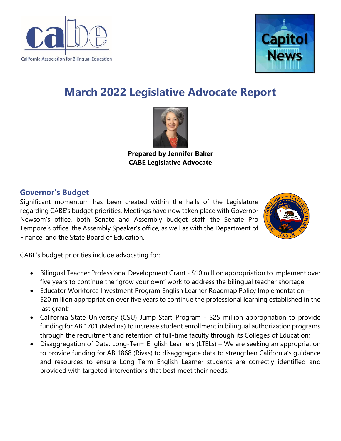



# **March 2022 Legislative Advocate Report**



**Prepared by Jennifer Baker CABE Legislative Advocate**

## **Governor's Budget**

Significant momentum has been created within the halls of the Legislature regarding CABE's budget priorities. Meetings have now taken place with Governor Newsom's office, both Senate and Assembly budget staff, the Senate Pro Tempore's office, the Assembly Speaker's office, as well as with the Department of Finance, and the State Board of Education.



CABE's budget priorities include advocating for:

- Bilingual Teacher Professional Development Grant \$10 million appropriation to implement over five years to continue the "grow your own" work to address the bilingual teacher shortage;
- Educator Workforce Investment Program English Learner Roadmap Policy Implementation \$20 million appropriation over five years to continue the professional learning established in the last grant;
- California State University (CSU) Jump Start Program \$25 million appropriation to provide funding for AB 1701 (Medina) to increase student enrollment in bilingual authorization programs through the recruitment and retention of full-time faculty through its Colleges of Education;
- Disaggregation of Data: Long-Term English Learners (LTELs) We are seeking an appropriation to provide funding for AB 1868 (Rivas) to disaggregate data to strengthen California's guidance and resources to ensure Long Term English Learner students are correctly identified and provided with targeted interventions that best meet their needs.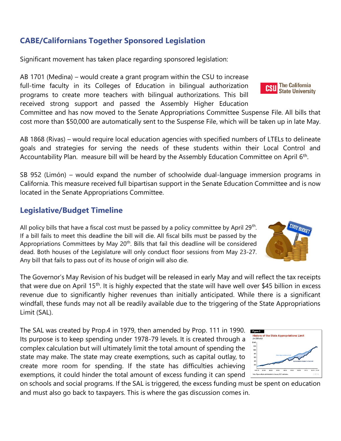### **CABE/Californians Together Sponsored Legislation**

Significant movement has taken place regarding sponsored legislation:

AB 1701 (Medina) – would create a grant program within the CSU to increase full-time faculty in its Colleges of Education in bilingual authorization programs to create more teachers with bilingual authorizations. This bill received strong support and passed the Assembly Higher Education

Committee and has now moved to the Senate Appropriations Committee Suspense File. All bills that cost more than \$50,000 are automatically sent to the Suspense File, which will be taken up in late May.

AB 1868 (Rivas) – would require local education agencies with specified numbers of LTELs to delineate goals and strategies for serving the needs of these students within their Local Control and Accountability Plan. measure bill will be heard by the Assembly Education Committee on April 6<sup>th</sup>.

SB 952 (Limón) – would expand the number of schoolwide dual-language immersion programs in California. This measure received full bipartisan support in the Senate Education Committee and is now located in the Senate Appropriations Committee.

#### **Legislative/Budget Timeline**

All policy bills that have a fiscal cost must be passed by a policy committee by April  $29<sup>th</sup>$ . If a bill fails to meet this deadline the bill will die. All fiscal bills must be passed by the Appropriations Committees by May  $20<sup>th</sup>$ . Bills that fail this deadline will be considered dead. Both houses of the Legislature will only conduct floor sessions from May 23-27. Any bill that fails to pass out of its house of origin will also die.

The Governor's May Revision of his budget will be released in early May and will reflect the tax receipts that were due on April 15<sup>th</sup>. It is highly expected that the state will have well over \$45 billion in excess revenue due to significantly higher revenues than initially anticipated. While there is a significant windfall, these funds may not all be readily available due to the triggering of the State Appropriations Limit (SAL).

The SAL was created by Prop.4 in 1979, then amended by Prop. 111 in 1990. Its purpose is to keep spending under 1978-79 levels. It is created through a complex calculation but will ultimately limit the total amount of spending the state may make. The state may create exemptions, such as capital outlay, to create more room for spending. If the state has difficulties achieving exemptions, it could hinder the total amount of excess funding it can spend

on schools and social programs. If the SAL is triggered, the excess funding must be spent on education and must also go back to taxpayers. This is where the gas discussion comes in.